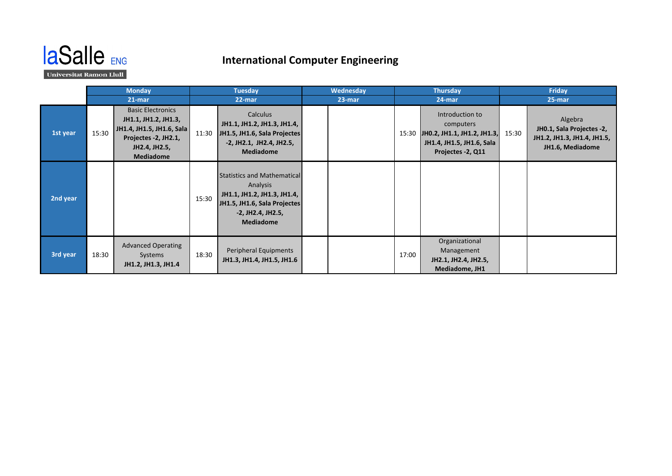

## **International Computer Engineering**

Universitat Ramon Llull

|          | <b>Monday</b> |                                                                                                                                     | <b>Tuesday</b> |                                                                                                                                                        | Wednesday |  | <b>Thursday</b> |                                                                                                               | Friday |                                                                                         |
|----------|---------------|-------------------------------------------------------------------------------------------------------------------------------------|----------------|--------------------------------------------------------------------------------------------------------------------------------------------------------|-----------|--|-----------------|---------------------------------------------------------------------------------------------------------------|--------|-----------------------------------------------------------------------------------------|
|          | $21$ -mar     |                                                                                                                                     | 22-mar         |                                                                                                                                                        | 23-mar    |  | 24-mar          |                                                                                                               | 25-mar |                                                                                         |
| 1st year | 15:30         | <b>Basic Electronics</b><br>JH1.1, JH1.2, JH1.3,<br>JH1.4, JH1.5, JH1.6, Sala<br>Projectes -2, JH2.1,<br>JH2.4, JH2.5,<br>Mediadome | 11:30          | Calculus<br>JH1.1, JH1.2, JH1.3, JH1.4,<br>JH1.5, JH1.6, Sala Projectes<br>-2, JH2.1, JH2.4, JH2.5,<br><b>Mediadome</b>                                |           |  | 15:30           | Introduction to<br>computers<br>JH0.2, JH1.1, JH1.2, JH1.3,<br>JH1.4, JH1.5, JH1.6, Sala<br>Projectes -2, Q11 | 15:30  | Algebra<br>JH0.1, Sala Projectes -2,<br>JH1.2, JH1.3, JH1.4, JH1.5,<br>JH1.6, Mediadome |
| 2nd year |               |                                                                                                                                     | 15:30          | <b>Statistics and Mathematical</b><br>Analysis<br>JH1.1, JH1.2, JH1.3, JH1.4,<br>JH1.5, JH1.6, Sala Projectes<br>-2, JH2.4, JH2.5,<br><b>Mediadome</b> |           |  |                 |                                                                                                               |        |                                                                                         |
| 3rd year | 18:30         | <b>Advanced Operating</b><br>Systems<br>JH1.2, JH1.3, JH1.4                                                                         | 18:30          | Peripheral Equipments<br>JH1.3, JH1.4, JH1.5, JH1.6                                                                                                    |           |  | 17:00           | Organizational<br>Management<br>JH2.1, JH2.4, JH2.5,<br>Mediadome, JH1                                        |        |                                                                                         |